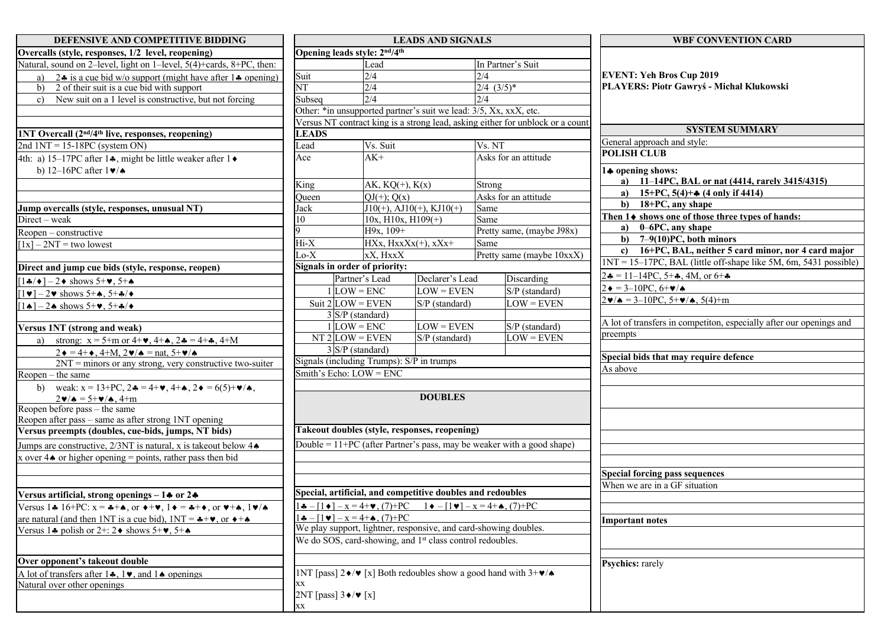| DEFENSIVE AND COMPETITIVE BIDDING                                                                       | <b>LEADS AND SIGNALS</b>                                                                                                      |                                    |                 |                      | <b>WBF CONVENTION CARD</b>            |                                                                          |  |
|---------------------------------------------------------------------------------------------------------|-------------------------------------------------------------------------------------------------------------------------------|------------------------------------|-----------------|----------------------|---------------------------------------|--------------------------------------------------------------------------|--|
| Overcalls (style, responses, 1/2 level, reopening)                                                      | Opening leads style: 2nd/4th                                                                                                  |                                    |                 |                      |                                       |                                                                          |  |
| Natural, sound on 2-level, light on 1-level, 5(4)+cards, 8+PC, then:                                    |                                                                                                                               | Lead                               |                 |                      | In Partner's Suit                     | <b>EVENT: Yeh Bros Cup 2019</b>                                          |  |
| 24 is a cue bid w/o support (might have after $1\clubsuit$ opening)                                     | Suit                                                                                                                          | 2/4                                |                 |                      |                                       |                                                                          |  |
| 2 of their suit is a cue bid with support<br>b)                                                         |                                                                                                                               | $\overline{\text{NT}}$<br>2/4      |                 | $2/4$ $(3/5)*$       |                                       | PLAYERS: Piotr Gawryś - Michał Klukowski                                 |  |
| New suit on a 1 level is constructive, but not forcing<br>$\mathbf{c}$                                  | Subseq                                                                                                                        | 2/4                                |                 | 2/4                  |                                       |                                                                          |  |
|                                                                                                         | Other: *in unsupported partner's suit we lead: 3/5, Xx, xxX, etc.                                                             |                                    |                 |                      |                                       |                                                                          |  |
|                                                                                                         | Versus NT contract king is a strong lead, asking either for unblock or a count                                                |                                    |                 |                      |                                       |                                                                          |  |
| 1NT Overcall (2 <sup>nd/4th</sup> live, responses, reopening)                                           | <b>LEADS</b>                                                                                                                  |                                    |                 |                      | <b>SYSTEM SUMMARY</b>                 |                                                                          |  |
| 2nd $1NT = 15-18PC$ (system ON)                                                                         | Lead                                                                                                                          | Vs. Suit                           |                 | Vs. NT               |                                       | General approach and style:<br><b>POLISH CLUB</b>                        |  |
| 4th: a) 15–17PC after 14, might be little weaker after 1 $\bullet$                                      | Ace                                                                                                                           | $AK+$                              |                 | Asks for an attitude |                                       |                                                                          |  |
| b) 12–16PC after $1\blacktriangledown/\blacktriangle$                                                   |                                                                                                                               |                                    |                 |                      | 14 opening shows:                     |                                                                          |  |
|                                                                                                         | King                                                                                                                          | AK, $KQ(+)$ , $K(x)$               |                 | Strong               |                                       | a) 11–14PC, BAL or nat (4414, rarely 3415/4315)                          |  |
|                                                                                                         | Queen                                                                                                                         | $QJ(+)$ ; $Q(x)$                   |                 |                      | Asks for an attitude                  | a) $15+PC$ , $5(4)+$ (4 only if 4414)                                    |  |
| Jump overcalls (style, responses, unusual NT)                                                           | Jack                                                                                                                          | $J10(+)$ , AJ $10(+)$ , KJ $10(+)$ |                 | Same                 |                                       | $\mathbf{b}$<br>18+PC, any shape                                         |  |
| Direct – weak                                                                                           | 10                                                                                                                            | $10x, H10x, H109(+)$               |                 | Same                 |                                       | Then 1♦ shows one of those three types of hands:                         |  |
| $\overline{\text{Reopen}}$ – constructive                                                               |                                                                                                                               | H9x, 109+                          |                 |                      | Pretty same, (maybe J98x)             | a) $0-6PC$ , any shape                                                   |  |
| $[1x] - 2NT =$ two lowest                                                                               | Hi-X                                                                                                                          | $HXx, HxxXx(+), xXx+$              |                 | Same                 |                                       | b) $7-9(10)PC$ , both minors                                             |  |
|                                                                                                         | $_{\rm O-X}$                                                                                                                  | xX, HxxX                           |                 |                      | Pretty same (maybe 10xxX)             | c) $16+PC$ , BAL, neither 5 card minor, nor 4 card major                 |  |
| Direct and jump cue bids (style, response, reopen)                                                      | Signals in order of priority:                                                                                                 |                                    |                 |                      |                                       | $INT = 15-17PC$ , BAL (little off-shape like 5M, 6m, 5431 possible)      |  |
| $\lceil 1\clubsuit/\bullet\rceil - 2\bullet$ shows 5+ $\blacktriangledown$ , 5+ $\spadesuit$            |                                                                                                                               | Partner's Lead                     | Declarer's Lead |                      | Discarding                            | $2\clubsuit = 11-14PC$ , 5+ $\clubsuit$ , 4M, or 6+ $\clubsuit$          |  |
| $\lceil 1\mathbf{v} \rceil - 2\mathbf{v}$ shows 5+4, 5+4/ $\mathbf{v}$                                  | $1$ LOW = ENC                                                                                                                 |                                    | $LOW = EVEN$    |                      | S/P (standard)                        | $2 \bullet = 3 - 10 \text{PC}, 6 + \frac{1}{2} \bullet$                  |  |
| $\lceil 1\bullet \rceil - 2\spadesuit$ shows 5+ $\blacktriangledown$ , 5+ $\clubsuit$ / $\blacklozenge$ | Suit $2$ LOW = EVEN                                                                                                           |                                    | S/P (standard)  |                      | $LOW = EVEN$                          | $2\mathbf{v}/\mathbf{A} = 3 - 10PC, 5 + \mathbf{v}/\mathbf{A}, 5(4) + m$ |  |
|                                                                                                         | 3 S/P (standard)                                                                                                              |                                    |                 |                      |                                       |                                                                          |  |
| Versus 1NT (strong and weak)                                                                            | $1$ LOW = ENC                                                                                                                 |                                    | $LOW = EVEN$    |                      | S/P (standard)                        | A lot of transfers in competiton, especially after our openings and      |  |
| strong: $x = 5+m$ or $4+\bullet$ , $4+\bullet$ , $2\clubsuit = 4+\clubsuit$ , $4+M$<br>a)               | $NT2$ LOW = EVEN                                                                                                              |                                    | S/P (standard)  |                      | $LOW = EVEN$                          | preempts                                                                 |  |
| $2 \cdot = 4 + \bullet$ , 4+M, $2 \cdot / \bullet =$ nat, 5+ $\cdot / \bullet$                          | 3 S/P (standard)                                                                                                              |                                    |                 |                      |                                       |                                                                          |  |
| $2NT =$ minors or any strong, very constructive two-suiter                                              | Signals (including Trumps): S/P in trumps                                                                                     |                                    |                 |                      | Special bids that may require defence |                                                                          |  |
| Reopen – the same                                                                                       | Smith's Echo: LOW = ENC                                                                                                       |                                    |                 |                      |                                       | As above                                                                 |  |
| weak: $x = 13+PC$ , $2\clubsuit = 4+\bullet$ , $4+\bullet$ , $2\bullet = 6(5)+\bullet/\bullet$ ,<br>b)  |                                                                                                                               |                                    |                 |                      |                                       |                                                                          |  |
| $2\mathbf{v}/\mathbf{A} = 5\mathbf{+}\mathbf{v}/\mathbf{A}$ , 4+m                                       |                                                                                                                               |                                    |                 |                      |                                       |                                                                          |  |
| Reopen before pass – the same                                                                           |                                                                                                                               |                                    |                 |                      |                                       |                                                                          |  |
| Reopen after pass – same as after strong 1NT opening                                                    |                                                                                                                               |                                    |                 |                      |                                       |                                                                          |  |
| Versus preempts (doubles, cue-bids, jumps, NT bids)                                                     | Takeout doubles (style, responses, reopening)                                                                                 |                                    |                 |                      |                                       |                                                                          |  |
| Jumps are constructive, $2/3NT$ is natural, x is takeout below $4\spadesuit$                            | Double = $11+PC$ (after Partner's pass, may be weaker with a good shape)                                                      |                                    |                 |                      |                                       |                                                                          |  |
| x over $4\spadesuit$ or higher opening = points, rather pass then bid                                   |                                                                                                                               |                                    |                 |                      |                                       |                                                                          |  |
|                                                                                                         |                                                                                                                               |                                    |                 |                      |                                       | <b>Special forcing pass sequences</b>                                    |  |
|                                                                                                         |                                                                                                                               |                                    |                 |                      |                                       | When we are in a GF situation                                            |  |
| Versus artificial, strong openings $-1$ or 2+                                                           | Special, artificial, and competitive doubles and redoubles                                                                    |                                    |                 |                      |                                       |                                                                          |  |
| Versus 14 16+PC: $x = +\phi$ , or $\phi + \psi$ , $1\phi = +\phi$ , or $\psi + \phi$ , $1\psi/\phi$     | $1\bullet - [1\bullet] - x = 4 + \bullet, (7) + PC \qquad 1\bullet - [1\bullet] - x = 4 + \bullet, (7) + PC$                  |                                    |                 |                      |                                       |                                                                          |  |
| are natural (and then 1NT is a cue bid), $1NT =$ $*+$ v, or $*+$                                        | $1 - [-1 \bullet 1] - x = 4 + 0, (7) + PC$                                                                                    |                                    |                 |                      | Important notes                       |                                                                          |  |
| Versus 14 polish or $2+$ : 2 $\bullet$ shows $5+\bullet$ , $5+\bullet$                                  | We play support, lightner, responsive, and card-showing doubles.                                                              |                                    |                 |                      |                                       |                                                                          |  |
|                                                                                                         | We do SOS, card-showing, and 1 <sup>st</sup> class control redoubles.                                                         |                                    |                 |                      |                                       |                                                                          |  |
|                                                                                                         |                                                                                                                               |                                    |                 |                      |                                       |                                                                          |  |
| Over opponent's takeout double                                                                          |                                                                                                                               |                                    |                 |                      |                                       | <b>Psychics:</b> rarely                                                  |  |
| A lot of transfers after $1\clubsuit$ , $1\blacktriangledown$ , and $1\spadesuit$ openings              | INT [pass] $2\blacklozenge/\blacktriangledown$ [x] Both redoubles show a good hand with $3+\blacktriangledown/\blacktriangle$ |                                    |                 |                      |                                       |                                                                          |  |
| Natural over other openings                                                                             | XX                                                                                                                            |                                    |                 |                      |                                       |                                                                          |  |
|                                                                                                         | 2NT [pass] $3 \cdot / \cdot$ [x]                                                                                              |                                    |                 |                      |                                       |                                                                          |  |
|                                                                                                         | XX                                                                                                                            |                                    |                 |                      |                                       |                                                                          |  |